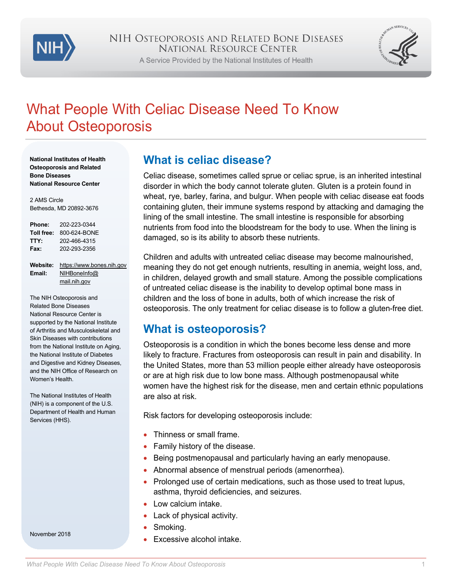

A Service Provided by the National Institutes of Health



# What People With Celiac Disease Need To Know About Osteoporosis

**National Institutes of Health Osteoporosis and Related Bone Diseases National Resource Center**

2 AMS Circle Bethesda, MD 20892-3676

| Phone:     | 202-223-0344 |
|------------|--------------|
| Toll free: | 800-624-BONE |
| TTY:       | 202-466-4315 |
| Fax:       | 202-293-2356 |

**Website:** [https://www.bones.nih.gov](https://www.bones.nih.gov/) **Email:** [NIHBoneInfo@](mailto:NIHBoneInfo@mail.nih.gov) [mail.nih.gov](mailto:NIHBoneInfo@mail.nih.gov) 

The NIH Osteoporosis and Related Bone Diseases National Resource Center is supported by the National Institute of Arthritis and Musculoskeletal and Skin Diseases with contributions from the National Institute on Aging, the National Institute of Diabetes and Digestive and Kidney Diseases, and the NIH Office of Research on Women's Health.

The National Institutes of Health (NIH) is a component of the U.S. Department of Health and Human Services (HHS).

November 2018

# **What is celiac disease?**

Celiac disease, sometimes called sprue or celiac sprue, is an inherited intestinal disorder in which the body cannot tolerate gluten. Gluten is a protein found in wheat, rye, barley, farina, and bulgur. When people with celiac disease eat foods containing gluten, their immune systems respond by attacking and damaging the lining of the small intestine. The small intestine is responsible for absorbing nutrients from food into the bloodstream for the body to use. When the lining is damaged, so is its ability to absorb these nutrients.

Children and adults with untreated celiac disease may become malnourished, meaning they do not get enough nutrients, resulting in anemia, weight loss, and, in children, delayed growth and small stature. Among the possible complications of untreated celiac disease is the inability to develop optimal bone mass in children and the loss of bone in adults, both of which increase the risk of osteoporosis. The only treatment for celiac disease is to follow a gluten-free diet.

### **What is osteoporosis?**

Osteoporosis is a condition in which the bones become less dense and more likely to fracture. Fractures from osteoporosis can result in pain and disability. In the United States, more than 53 million people either already have osteoporosis or are at high risk due to low bone mass. Although postmenopausal white women have the highest risk for the disease, men and certain ethnic populations are also at risk.

Risk factors for developing osteoporosis include:

- Thinness or small frame.
- Family history of the disease.
- Being postmenopausal and particularly having an early menopause.
- Abnormal absence of menstrual periods (amenorrhea).
- Prolonged use of certain medications, such as those used to treat lupus, asthma, thyroid deficiencies, and seizures.
- Low calcium intake.
- Lack of physical activity.
- Smoking.
- Excessive alcohol intake.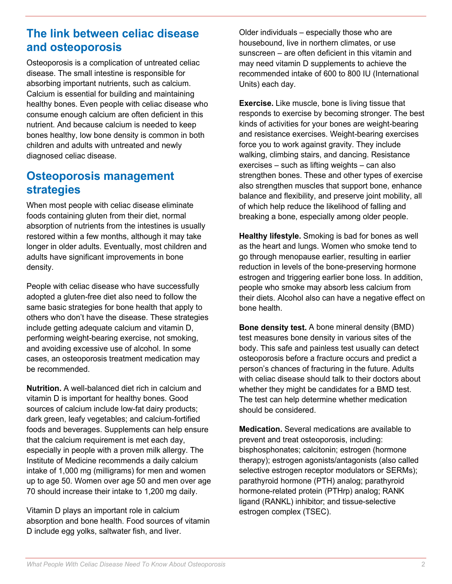### **The link between celiac disease and osteoporosis**

Osteoporosis is a complication of untreated celiac disease. The small intestine is responsible for absorbing important nutrients, such as calcium. Calcium is essential for building and maintaining healthy bones. Even people with celiac disease who consume enough calcium are often deficient in this nutrient. And because calcium is needed to keep bones healthy, low bone density is common in both children and adults with untreated and newly diagnosed celiac disease.

#### **Osteoporosis management strategies**

When most people with celiac disease eliminate foods containing gluten from their diet, normal absorption of nutrients from the intestines is usually restored within a few months, although it may take longer in older adults. Eventually, most children and adults have significant improvements in bone density.

People with celiac disease who have successfully adopted a gluten-free diet also need to follow the same basic strategies for bone health that apply to others who don't have the disease. These strategies include getting adequate calcium and vitamin D, performing weight-bearing exercise, not smoking, and avoiding excessive use of alcohol. In some cases, an osteoporosis treatment medication may be recommended.

**Nutrition.** A well-balanced diet rich in calcium and vitamin D is important for healthy bones. Good sources of calcium include low-fat dairy products; dark green, leafy vegetables; and calcium-fortified foods and beverages. Supplements can help ensure that the calcium requirement is met each day, especially in people with a proven milk allergy. The Institute of Medicine recommends a daily calcium intake of 1,000 mg (milligrams) for men and women up to age 50. Women over age 50 and men over age 70 should increase their intake to 1,200 mg daily.

Vitamin D plays an important role in calcium absorption and bone health. Food sources of vitamin D include egg yolks, saltwater fish, and liver.

Older individuals – especially those who are housebound, live in northern climates, or use sunscreen – are often deficient in this vitamin and may need vitamin D supplements to achieve the recommended intake of 600 to 800 IU (International Units) each day.

**Exercise.** Like muscle, bone is living tissue that responds to exercise by becoming stronger. The best kinds of activities for your bones are weight-bearing and resistance exercises. Weight-bearing exercises force you to work against gravity. They include walking, climbing stairs, and dancing. Resistance exercises – such as lifting weights – can also strengthen bones. These and other types of exercise also strengthen muscles that support bone, enhance balance and flexibility, and preserve joint mobility, all of which help reduce the likelihood of falling and breaking a bone, especially among older people.

**Healthy lifestyle.** Smoking is bad for bones as well as the heart and lungs. Women who smoke tend to go through menopause earlier, resulting in earlier reduction in levels of the bone-preserving hormone estrogen and triggering earlier bone loss. In addition, people who smoke may absorb less calcium from their diets. Alcohol also can have a negative effect on bone health.

**Bone density test.** A bone mineral density (BMD) test measures bone density in various sites of the body. This safe and painless test usually can detect osteoporosis before a fracture occurs and predict a person's chances of fracturing in the future. Adults with celiac disease should talk to their doctors about whether they might be candidates for a BMD test. The test can help determine whether medication should be considered.

**Medication.** Several medications are available to prevent and treat osteoporosis, including: bisphosphonates; calcitonin; estrogen (hormone therapy); estrogen agonists/antagonists (also called selective estrogen receptor modulators or SERMs); parathyroid hormone (PTH) analog; parathyroid hormone-related protein (PTHrp) analog; RANK ligand (RANKL) inhibitor; and tissue-selective estrogen complex (TSEC).